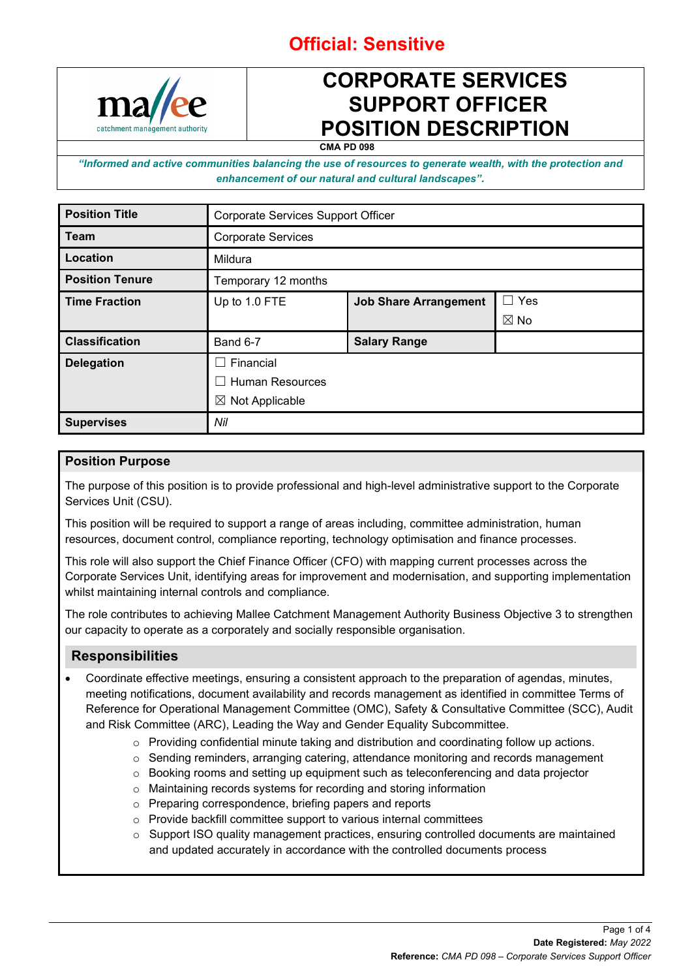

## **CORPORATE SERVICES SUPPORT OFFICER POSITION DESCRIPTION**

**CMA PD 098**

*"Informed and active communities balancing the use of resources to generate wealth, with the protection and enhancement of our natural and cultural landscapes".*

| <b>Position Title</b>  | Corporate Services Support Officer |                              |                |  |
|------------------------|------------------------------------|------------------------------|----------------|--|
| <b>Team</b>            | <b>Corporate Services</b>          |                              |                |  |
| Location               | Mildura                            |                              |                |  |
| <b>Position Tenure</b> | Temporary 12 months                |                              |                |  |
| <b>Time Fraction</b>   | Up to 1.0 FTE                      | <b>Job Share Arrangement</b> | $\Box$ Yes     |  |
|                        |                                    |                              | $\boxtimes$ No |  |
| <b>Classification</b>  | Band 6-7                           | <b>Salary Range</b>          |                |  |
| <b>Delegation</b>      | Financial                          |                              |                |  |
|                        | <b>Human Resources</b>             |                              |                |  |
|                        | $\boxtimes$<br>Not Applicable      |                              |                |  |
| <b>Supervises</b>      | Nil                                |                              |                |  |

#### **Position Purpose**

The purpose of this position is to provide professional and high-level administrative support to the Corporate Services Unit (CSU).

This position will be required to support a range of areas including, committee administration, human resources, document control, compliance reporting, technology optimisation and finance processes.

This role will also support the Chief Finance Officer (CFO) with mapping current processes across the Corporate Services Unit, identifying areas for improvement and modernisation, and supporting implementation whilst maintaining internal controls and compliance.

The role contributes to achieving Mallee Catchment Management Authority Business Objective 3 to strengthen our capacity to operate as a corporately and socially responsible organisation.

### **Responsibilities**

- Coordinate effective meetings, ensuring a consistent approach to the preparation of agendas, minutes, meeting notifications, document availability and records management as identified in committee Terms of Reference for Operational Management Committee (OMC), Safety & Consultative Committee (SCC), Audit and Risk Committee (ARC), Leading the Way and Gender Equality Subcommittee.
	- $\circ$  Providing confidential minute taking and distribution and coordinating follow up actions.
	- $\circ$  Sending reminders, arranging catering, attendance monitoring and records management
	- $\circ$  Booking rooms and setting up equipment such as teleconferencing and data projector
	- o Maintaining records systems for recording and storing information
	- o Preparing correspondence, briefing papers and reports
	- o Provide backfill committee support to various internal committees
	- $\circ$  Support ISO quality management practices, ensuring controlled documents are maintained and updated accurately in accordance with the controlled documents process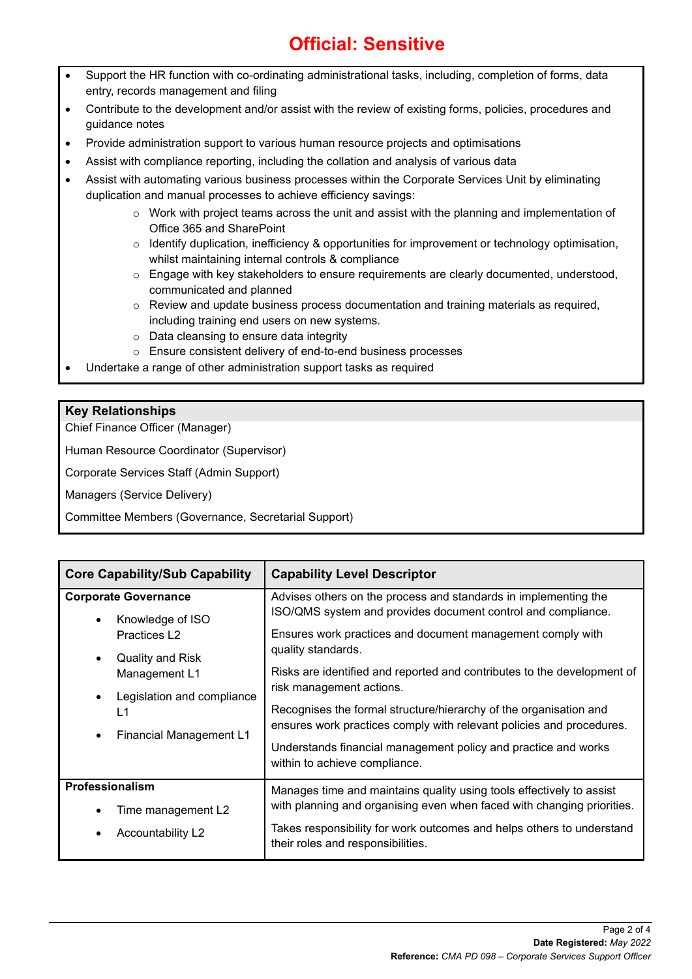- Support the HR function with co-ordinating administrational tasks, including, completion of forms, data entry, records management and filing
- Contribute to the development and/or assist with the review of existing forms, policies, procedures and guidance notes
- Provide administration support to various human resource projects and optimisations
- Assist with compliance reporting, including the collation and analysis of various data
- Assist with automating various business processes within the Corporate Services Unit by eliminating duplication and manual processes to achieve efficiency savings:
	- $\circ$  Work with project teams across the unit and assist with the planning and implementation of Office 365 and SharePoint
	- o Identify duplication, inefficiency & opportunities for improvement or technology optimisation, whilst maintaining internal controls & compliance
	- $\circ$  Engage with key stakeholders to ensure requirements are clearly documented, understood, communicated and planned
	- o Review and update business process documentation and training materials as required, including training end users on new systems.
	- o Data cleansing to ensure data integrity
	- o Ensure consistent delivery of end-to-end business processes
- Undertake a range of other administration support tasks as required

#### **Key Relationships**

Chief Finance Officer (Manager)

Human Resource Coordinator (Supervisor)

Corporate Services Staff (Admin Support)

Managers (Service Delivery)

Committee Members (Governance, Secretarial Support)

| <b>Core Capability/Sub Capability</b>                                                                                                                                                         | <b>Capability Level Descriptor</b>                                                                                                                                                                                                                                                                                                                                                                                                                                                                                                                                         |
|-----------------------------------------------------------------------------------------------------------------------------------------------------------------------------------------------|----------------------------------------------------------------------------------------------------------------------------------------------------------------------------------------------------------------------------------------------------------------------------------------------------------------------------------------------------------------------------------------------------------------------------------------------------------------------------------------------------------------------------------------------------------------------------|
| <b>Corporate Governance</b><br>Knowledge of ISO<br>Practices L <sub>2</sub><br><b>Quality and Risk</b><br>Management L1<br>Legislation and compliance<br>L1<br><b>Financial Management L1</b> | Advises others on the process and standards in implementing the<br>ISO/QMS system and provides document control and compliance.<br>Ensures work practices and document management comply with<br>quality standards.<br>Risks are identified and reported and contributes to the development of<br>risk management actions.<br>Recognises the formal structure/hierarchy of the organisation and<br>ensures work practices comply with relevant policies and procedures.<br>Understands financial management policy and practice and works<br>within to achieve compliance. |
| Professionalism<br>Time management L2<br>Accountability L2                                                                                                                                    | Manages time and maintains quality using tools effectively to assist<br>with planning and organising even when faced with changing priorities.<br>Takes responsibility for work outcomes and helps others to understand<br>their roles and responsibilities.                                                                                                                                                                                                                                                                                                               |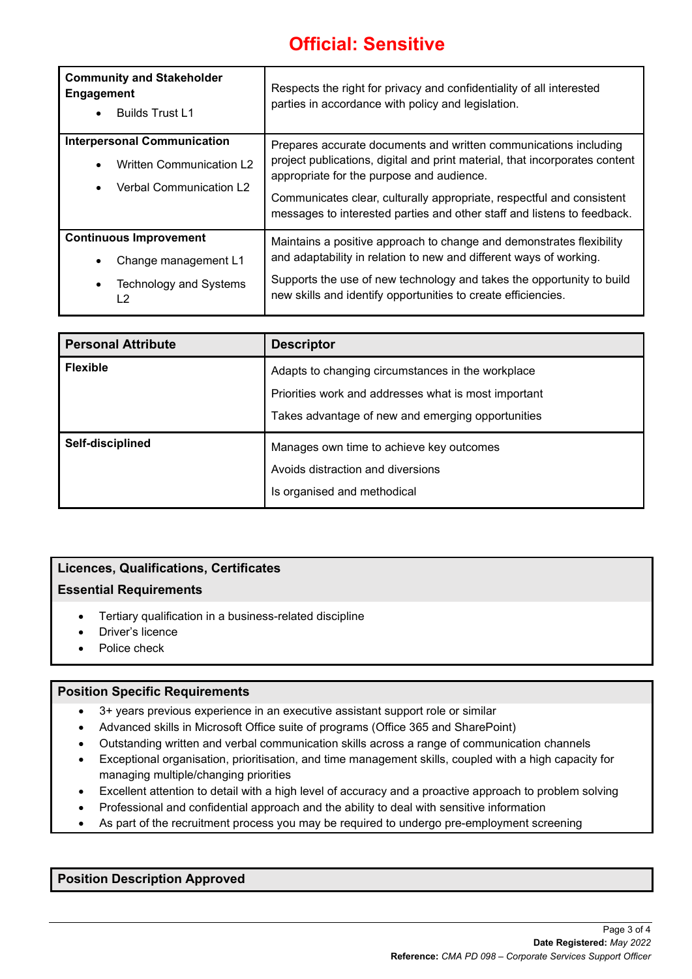| <b>Community and Stakeholder</b><br><b>Engagement</b><br><b>Builds Trust L1</b><br>$\bullet$            | Respects the right for privacy and confidentiality of all interested<br>parties in accordance with policy and legislation.                                                                                                                                                                                                                       |
|---------------------------------------------------------------------------------------------------------|--------------------------------------------------------------------------------------------------------------------------------------------------------------------------------------------------------------------------------------------------------------------------------------------------------------------------------------------------|
| <b>Interpersonal Communication</b><br><b>Written Communication L2</b><br><b>Verbal Communication L2</b> | Prepares accurate documents and written communications including<br>project publications, digital and print material, that incorporates content<br>appropriate for the purpose and audience.<br>Communicates clear, culturally appropriate, respectful and consistent<br>messages to interested parties and other staff and listens to feedback. |
| <b>Continuous Improvement</b><br>Change management L1<br>Technology and Systems<br>L <sub>2</sub>       | Maintains a positive approach to change and demonstrates flexibility<br>and adaptability in relation to new and different ways of working.<br>Supports the use of new technology and takes the opportunity to build<br>new skills and identify opportunities to create efficiencies.                                                             |

| <b>Personal Attribute</b> | <b>Descriptor</b>                                                                                                                                              |
|---------------------------|----------------------------------------------------------------------------------------------------------------------------------------------------------------|
| <b>Flexible</b>           | Adapts to changing circumstances in the workplace<br>Priorities work and addresses what is most important<br>Takes advantage of new and emerging opportunities |
| Self-disciplined          | Manages own time to achieve key outcomes<br>Avoids distraction and diversions<br>Is organised and methodical                                                   |

### **Licences, Qualifications, Certificates**

#### **Essential Requirements**

- Tertiary qualification in a business-related discipline
- Driver's licence
- Police check

#### **Position Specific Requirements**

- 3+ years previous experience in an executive assistant support role or similar
- Advanced skills in Microsoft Office suite of programs (Office 365 and SharePoint)
- Outstanding written and verbal communication skills across a range of communication channels
- Exceptional organisation, prioritisation, and time management skills, coupled with a high capacity for managing multiple/changing priorities
- Excellent attention to detail with a high level of accuracy and a proactive approach to problem solving
- Professional and confidential approach and the ability to deal with sensitive information
- As part of the recruitment process you may be required to undergo pre-employment screening

**Position Description Approved**